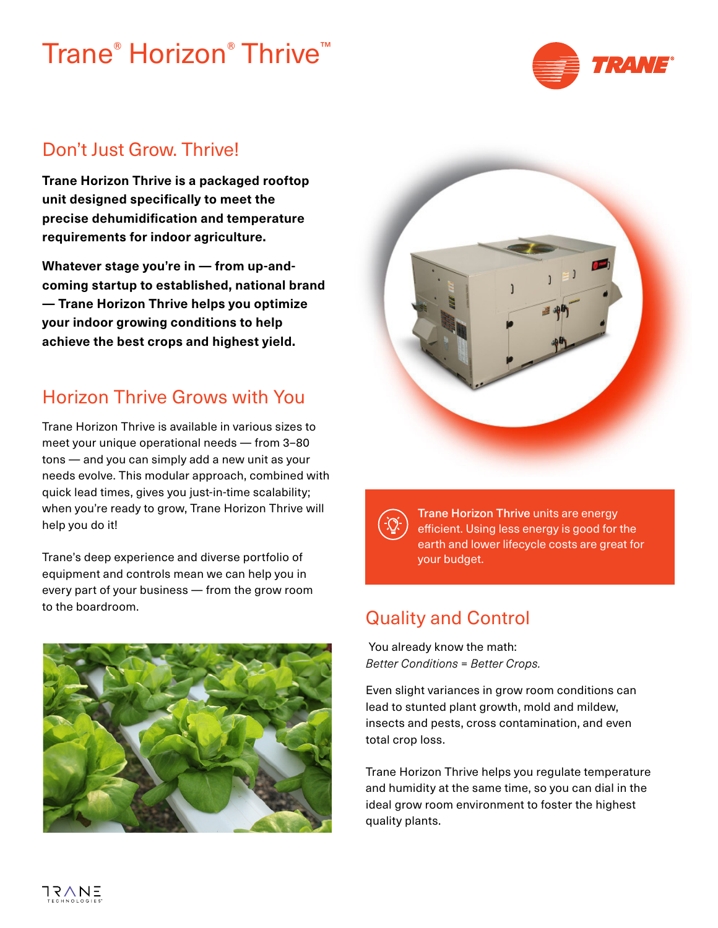# Trane® Horizon® Thrive™



#### Don't Just Grow. Thrive!

**Trane Horizon Thrive is a packaged rooftop unit designed specifically to meet the precise dehumidification and temperature requirements for indoor agriculture.**

**Whatever stage you're in — from up-andcoming startup to established, national brand — Trane Horizon Thrive helps you optimize your indoor growing conditions to help achieve the best crops and highest yield.**

#### Horizon Thrive Grows with You

Trane Horizon Thrive is available in various sizes to meet your unique operational needs — from 3–80 tons — and you can simply add a new unit as your needs evolve. This modular approach, combined with quick lead times, gives you just-in-time scalability; when you're ready to grow, Trane Horizon Thrive will help you do it!

Trane's deep experience and diverse portfolio of equipment and controls mean we can help you in every part of your business — from the grow room to the boardroom. Quality and Control





Trane Horizon Thrive units are energy efficient. Using less energy is good for the earth and lower lifecycle costs are great for your budget.

 You already know the math: *Better Conditions = Better Crops.* 

Even slight variances in grow room conditions can lead to stunted plant growth, mold and mildew, insects and pests, cross contamination, and even total crop loss.

Trane Horizon Thrive helps you regulate temperature and humidity at the same time, so you can dial in the ideal grow room environment to foster the highest quality plants.